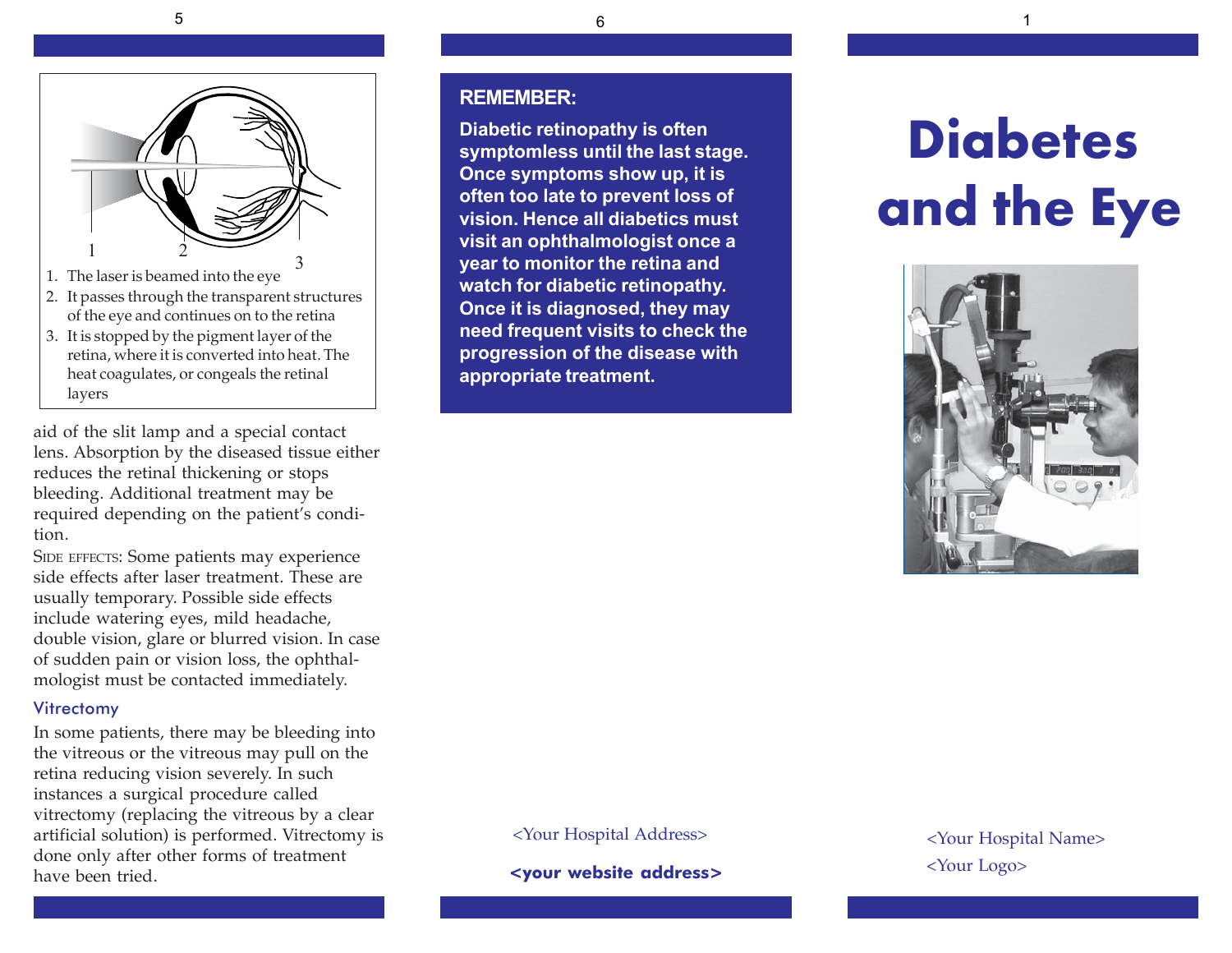

- of the eye and continues on to the retina
- 3. It is stopped by the pigment layer of the retina, where it is converted into heat. The heat coagulates, or congeals the retinal layers

aid of the slit lamp and a special contact lens. Absorption by the diseased tissue either reduces the retinal thickening or stops bleeding. Additional treatment may be required depending on the patient's condition.

SIDE EFFECTS: Some patients may experience side effects after laser treatment. These are usually temporary. Possible side effects include watering eyes, mild headache, double vision, glare or blurred vision. In case of sudden pain or vision loss, the ophthalmologist must be contacted immediately.

#### **Vitrectomy**

In some patients, there may be bleeding into the vitreous or the vitreous may pull on the retina reducing vision severely. In such instances a surgical procedure called vitrectomy (replacing the vitreous by a clear artificial solution) is performed. Vitrectomy is done only after other forms of treatment have been tried.

#### **REMEMBER:**

**Diabetic retinopathy is often symptomless until the last stage. Once symptoms show up, it is often too late to prevent loss of vision. Hence all diabetics must visit an ophthalmologist once a year to monitor the retina and watch for diabetic retinopathy. Once it is diagnosed, they may need frequent visits to check the progression of the disease with appropriate treatment.**

# **Diabetes and the Eye**



<Your Hospital Address> <Your Hospital Name>

**<your website address>**

<Your Logo>